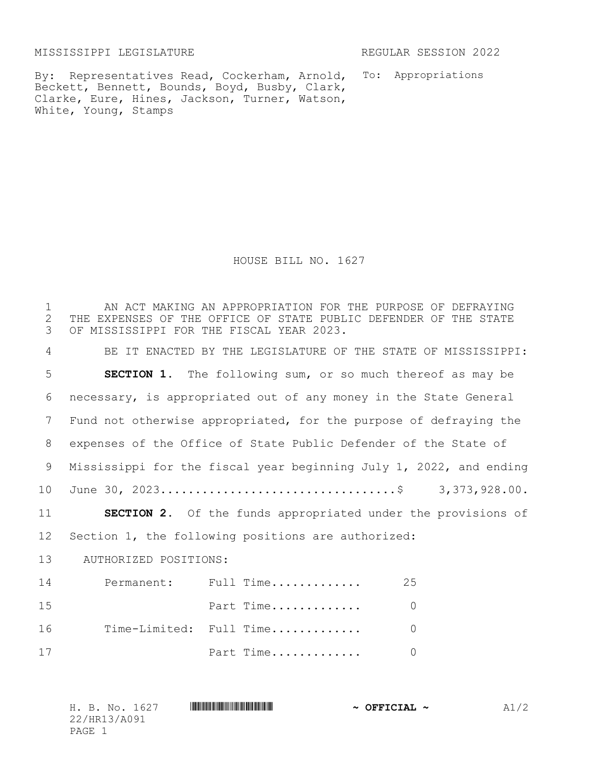MISSISSIPPI LEGISLATURE REGULAR SESSION 2022

By: Representatives Read, Cockerham, Arnold, To: Appropriations Beckett, Bennett, Bounds, Boyd, Busby, Clark, Clarke, Eure, Hines, Jackson, Turner, Watson, White, Young, Stamps

HOUSE BILL NO. 1627

| 1<br>$\overline{2}$<br>3 |                                                    | AN ACT MAKING AN APPROPRIATION FOR THE PURPOSE OF DEFRAYING<br>THE EXPENSES OF THE OFFICE OF STATE PUBLIC DEFENDER OF THE STATE<br>OF MISSISSIPPI FOR THE FISCAL YEAR 2023. |                |  |  |
|--------------------------|----------------------------------------------------|-----------------------------------------------------------------------------------------------------------------------------------------------------------------------------|----------------|--|--|
| 4                        |                                                    | BE IT ENACTED BY THE LEGISLATURE OF THE STATE OF MISSISSIPPI:                                                                                                               |                |  |  |
| 5                        |                                                    | <b>SECTION 1.</b> The following sum, or so much thereof as may be                                                                                                           |                |  |  |
| 6                        |                                                    | necessary, is appropriated out of any money in the State General                                                                                                            |                |  |  |
| $7\phantom{.0}$          |                                                    | Fund not otherwise appropriated, for the purpose of defraying the                                                                                                           |                |  |  |
| 8                        |                                                    | expenses of the Office of State Public Defender of the State of                                                                                                             |                |  |  |
| 9                        |                                                    | Mississippi for the fiscal year beginning July 1, 2022, and ending                                                                                                          |                |  |  |
| 10                       |                                                    |                                                                                                                                                                             |                |  |  |
| 11                       |                                                    | SECTION 2. Of the funds appropriated under the provisions of                                                                                                                |                |  |  |
| 12                       | Section 1, the following positions are authorized: |                                                                                                                                                                             |                |  |  |
| 13                       | AUTHORIZED POSITIONS:                              |                                                                                                                                                                             |                |  |  |
| 14                       |                                                    | Permanent: Full Time                                                                                                                                                        | 25             |  |  |
| 15                       |                                                    | Part Time                                                                                                                                                                   | $\overline{0}$ |  |  |
| 16                       |                                                    | Time-Limited: Full Time                                                                                                                                                     | $\overline{0}$ |  |  |
| 17                       |                                                    | Part Time                                                                                                                                                                   | $\Omega$       |  |  |

|        |              | H. B. No. 1627 | $\sim$ OFFICIAL $\sim$ | A1/2 |
|--------|--------------|----------------|------------------------|------|
|        | 22/HR13/A091 |                |                        |      |
| PAGE 1 |              |                |                        |      |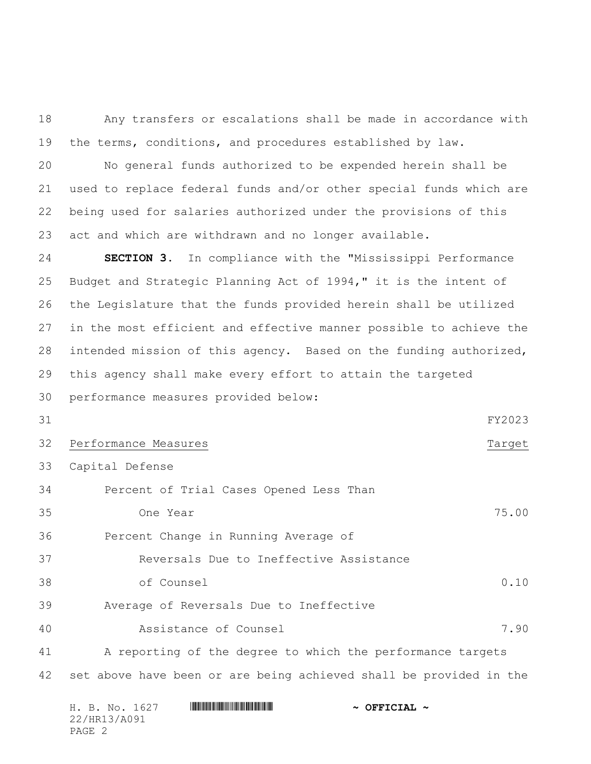Any transfers or escalations shall be made in accordance with the terms, conditions, and procedures established by law.

 No general funds authorized to be expended herein shall be used to replace federal funds and/or other special funds which are being used for salaries authorized under the provisions of this act and which are withdrawn and no longer available.

 **SECTION 3.** In compliance with the "Mississippi Performance Budget and Strategic Planning Act of 1994," it is the intent of the Legislature that the funds provided herein shall be utilized in the most efficient and effective manner possible to achieve the intended mission of this agency. Based on the funding authorized, this agency shall make every effort to attain the targeted

performance measures provided below:

```
31 FY2023
```
## 32 Performance Measures Tangel and the Contract of the Contract of Target

Capital Defense

| 34 |          | Percent of Trial Cases Opened Less Than |       |
|----|----------|-----------------------------------------|-------|
| 35 | One Year |                                         | 75.00 |

Percent Change in Running Average of

Reversals Due to Ineffective Assistance

of Counsel 0.10

Average of Reversals Due to Ineffective

Assistance of Counsel 7.90

 A reporting of the degree to which the performance targets set above have been or are being achieved shall be provided in the

|        |              | H. B. No. 1627 |  | $\sim$ OFFICIAL $\sim$ |  |
|--------|--------------|----------------|--|------------------------|--|
|        | 22/HR13/A091 |                |  |                        |  |
| PAGE 2 |              |                |  |                        |  |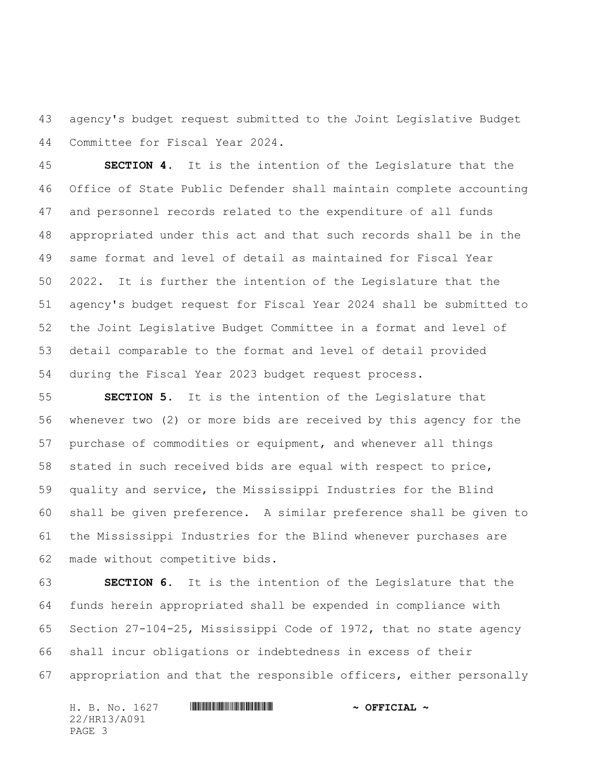agency's budget request submitted to the Joint Legislative Budget Committee for Fiscal Year 2024.

 **SECTION 4.** It is the intention of the Legislature that the Office of State Public Defender shall maintain complete accounting and personnel records related to the expenditure of all funds appropriated under this act and that such records shall be in the same format and level of detail as maintained for Fiscal Year 2022. It is further the intention of the Legislature that the agency's budget request for Fiscal Year 2024 shall be submitted to the Joint Legislative Budget Committee in a format and level of detail comparable to the format and level of detail provided during the Fiscal Year 2023 budget request process.

 **SECTION 5.** It is the intention of the Legislature that whenever two (2) or more bids are received by this agency for the purchase of commodities or equipment, and whenever all things stated in such received bids are equal with respect to price, quality and service, the Mississippi Industries for the Blind shall be given preference. A similar preference shall be given to the Mississippi Industries for the Blind whenever purchases are made without competitive bids.

 **SECTION 6.** It is the intention of the Legislature that the funds herein appropriated shall be expended in compliance with Section 27-104-25, Mississippi Code of 1972, that no state agency shall incur obligations or indebtedness in excess of their appropriation and that the responsible officers, either personally

H. B. No. 1627 \*HR13/A091\* **~ OFFICIAL ~** 22/HR13/A091 PAGE 3